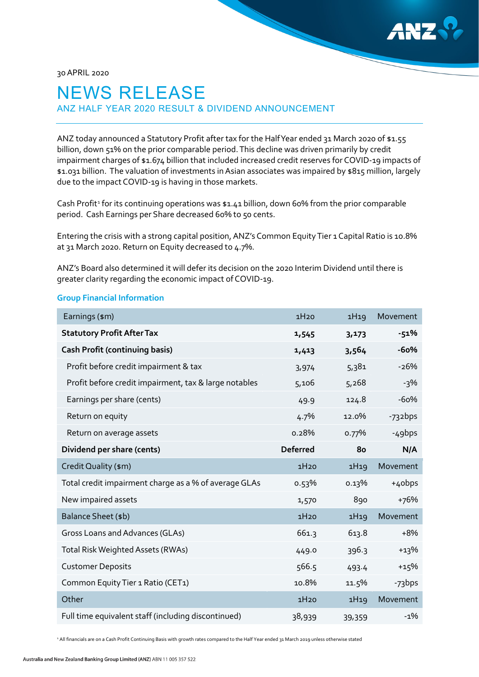

30 APRIL 2020

# NEWS RELEASE ANZ HALF YEAR 2020 RESULT & DIVIDEND ANNOUNCEMENT

ANZ today announced a Statutory Profit after tax for the Half Year ended 31 March 2020 of \$1.55 billion, down 51% on the prior comparable period. This decline was driven primarily by credit impairment charges of \$1.674 billion that included increased credit reserves for COVID-19 impacts of \$1.031 billion. The valuation of investments in Asian associates was impaired by \$815 million, largely due to the impact COVID-19 is having in those markets.

Cash Profit<sup>[1](#page-0-0)</sup> for its continuing operations was \$1.41 billion, down 60% from the prior comparable period. Cash Earnings per Share decreased 60% to 50 cents.

Entering the crisis with a strong capital position, ANZ's Common Equity Tier 1 Capital Ratio is 10.8% at 31 March 2020. Return on Equity decreased to 4.7%.

ANZ's Board also determined it will defer its decision on the 2020 Interim Dividend until there is greater clarity regarding the economic impact of COVID-19.

#### **Group Financial Information**

| Earnings (\$m)                                        | 1H20            | 1H19  | Movement           |
|-------------------------------------------------------|-----------------|-------|--------------------|
| <b>Statutory Profit After Tax</b>                     | 1,545           | 3,173 | $-51%$             |
| <b>Cash Profit (continuing basis)</b>                 | 1,413           | 3,564 | $-60%$             |
| Profit before credit impairment & tax                 | 3,974           | 5,381 | $-26%$             |
| Profit before credit impairment, tax & large notables | 5,106           | 5,268 | $-3%$              |
| Earnings per share (cents)                            | 49.9            | 124.8 | $-60%$             |
| Return on equity                                      | 4.7%            | 12.0% | -732bps            |
| Return on average assets                              | 0.28%           | 0.77% | -49bps             |
| Dividend per share (cents)                            | <b>Deferred</b> | 80    | N/A                |
| Credit Quality (\$m)                                  | 1H20            | 1H19  | Movement           |
| Total credit impairment charge as a % of average GLAs | 0.53%           | 0.13% | +4obps             |
| New impaired assets                                   | 1,570           | 890   | +76%               |
| Balance Sheet (\$b)                                   | 1H20            | 1H19  | Movement           |
| Gross Loans and Advances (GLAs)                       | 661.3           | 613.8 | $+8%$              |
| Total Risk Weighted Assets (RWAs)                     | 449.0           | 396.3 | $+13%$             |
| <b>Customer Deposits</b>                              | 566.5           | 493.4 | $+15%$             |
| Common Equity Tier 1 Ratio (CET1)                     | 10.8%           | 11.5% | -73 <sub>bps</sub> |
| Other                                                 | 1H20            | 1H19  | Movement           |
|                                                       |                 |       |                    |

<span id="page-0-0"></span><sup>1</sup> All financials are on a Cash Profit Continuing Basis with growth rates compared to the Half Year ended 31 March 2019 unless otherwise stated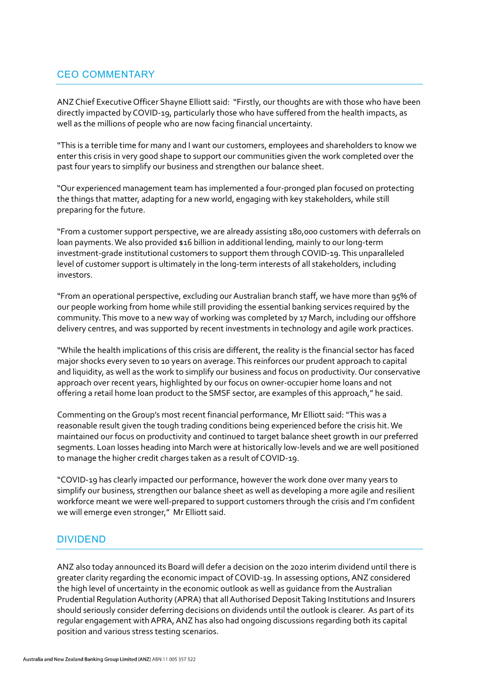## CEO COMMENTARY

ANZ Chief Executive Officer Shayne Elliott said: "Firstly, our thoughts are with those who have been directly impacted by COVID-19, particularly those who have suffered from the health impacts, as well as the millions of people who are now facing financial uncertainty.

"This is a terrible time for many and I want our customers, employees and shareholders to know we enter this crisis in very good shape to support our communities given the work completed over the past four years to simplify our business and strengthen our balance sheet.

"Our experienced management team has implemented a four-pronged plan focused on protecting the things that matter, adapting for a new world, engaging with key stakeholders, while still preparing for the future.

"From a customer support perspective, we are already assisting 180,000 customers with deferrals on loan payments. We also provided \$16 billion in additional lending, mainly to our long-term investment-grade institutional customers to support them through COVID-19.This unparalleled level of customer support is ultimately in the long-term interests of all stakeholders, including investors.

"From an operational perspective, excluding our Australian branch staff, we have more than 95% of our people working from home while still providing the essential banking services required by the community. This move to a new way of working was completed by 17 March, including our offshore delivery centres, and was supported by recent investments in technology and agile work practices.

"While the health implications of this crisis are different, the reality is the financial sector has faced major shocks every seven to 10 years on average. This reinforces our prudent approach to capital and liquidity, as well as the work to simplify our business and focus on productivity. Our conservative approach over recent years, highlighted by our focus on owner-occupier home loans and not offering a retail home loan product to the SMSF sector, are examples of this approach," he said.

Commenting on theGroup's most recent financial performance, Mr Elliott said: "This was a reasonable result given the tough trading conditions being experienced before the crisis hit. We maintained our focus on productivity and continued to target balance sheet growth in our preferred segments. Loan losses heading into March were at historically low-levels and we are well positioned to manage the higher credit charges taken as a result of COVID-19.

"COVID-19 has clearly impacted our performance, however the work done over many years to simplify our business, strengthen our balance sheet as well as developing a more agile and resilient workforce meant we were well-prepared to support customers through the crisis and I'm confident we will emerge even stronger," Mr Elliott said.

## DIVIDEND

ANZ also today announced its Board will defer a decision on the 2020 interim dividend until there is greater clarity regarding the economic impact of COVID-19. In assessing options, ANZ considered the high level of uncertainty in the economic outlook as well as guidance from the Australian Prudential Regulation Authority (APRA) that all Authorised Deposit Taking Institutions and Insurers should seriously consider deferring decisions on dividends until the outlook is clearer. As part of its regular engagement with APRA, ANZ has also had ongoing discussions regarding both its capital position and various stress testing scenarios.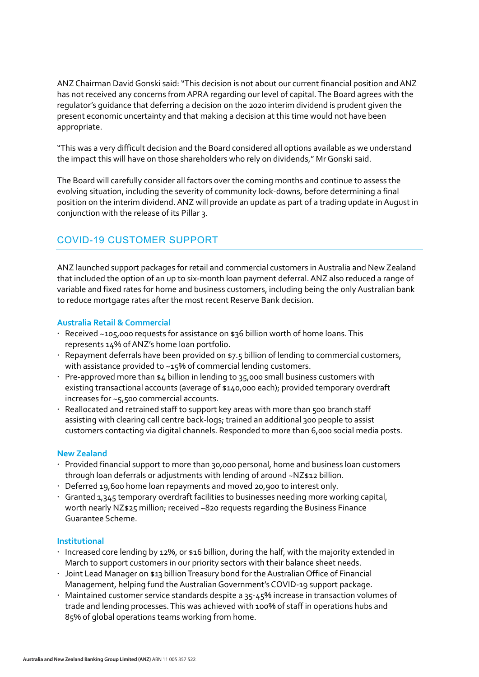ANZ Chairman David Gonski said: "This decision is not about our current financial position and ANZ has not received any concerns from APRA regarding our level of capital. The Board agrees with the regulator's guidance that deferring a decision on the 2020 interim dividend is prudent given the present economic uncertainty and that making a decision at this time would not have been appropriate.

"This was a very difficult decision and the Board considered all options available as we understand the impact this will have on those shareholders who rely on dividends," Mr Gonski said.

The Board will carefully consider all factors over the coming months and continue to assess the evolving situation, including the severity of community lock-downs, before determining a final position on the interim dividend. ANZ will provide an update as part of a trading update in August in conjunction with the release of its Pillar 3.

# COVID-19 CUSTOMER SUPPORT

ANZ launched support packages for retail and commercial customers in Australia and New Zealand that included the option of an up to six-month loan payment deferral. ANZ also reduced a range of variable and fixed rates for home and business customers, including being the only Australian bank to reduce mortgage rates after the most recent Reserve Bank decision.

## **Australia Retail & Commercial**

- Received ~105,000 requests for assistance on \$36 billion worth of home loans. This represents 14% of ANZ's home loan portfolio.
- Repayment deferrals have been provided on \$7.5 billion of lending to commercial customers, with assistance provided to ~15% of commercial lending customers.
- $\cdot$  Pre-approved more than \$4 billion in lending to 35,000 small business customers with existing transactional accounts (average of \$140,000 each); provided temporary overdraft increases for ~5,500 commercial accounts.
- $\cdot$  Reallocated and retrained staff to support key areas with more than 500 branch staff assisting with clearing call centre back-logs; trained an additional 300 people to assist customers contacting via digital channels. Responded to more than 6,000 social media posts.

#### **New Zealand**

- Provided financial support to more than 30,000 personal, home and business loan customers through loan deferrals or adjustments with lending of around ~NZ\$12 billion.
- Deferred 19,600 home loan repayments and moved 20,900 to interest only.
- Granted 1,345 temporary overdraft facilities to businesses needing more working capital, worth nearly NZ\$25 million; received ~820 requests regarding the Business Finance Guarantee Scheme.

#### **Institutional**

- Increased core lending by 12%, or  $$16$  billion, during the half, with the majority extended in March to support customers in our priority sectors with their balance sheet needs.
- Joint Lead Manager on \$13 billion Treasury bond for the Australian Office of Financial Management, helping fund the Australian Government's COVID-19 support package.
- Maintained customer service standards despite a 35-45% increase in transaction volumes of trade and lending processes. This was achieved with 100% of staff in operations hubs and 85% of global operations teams working from home.